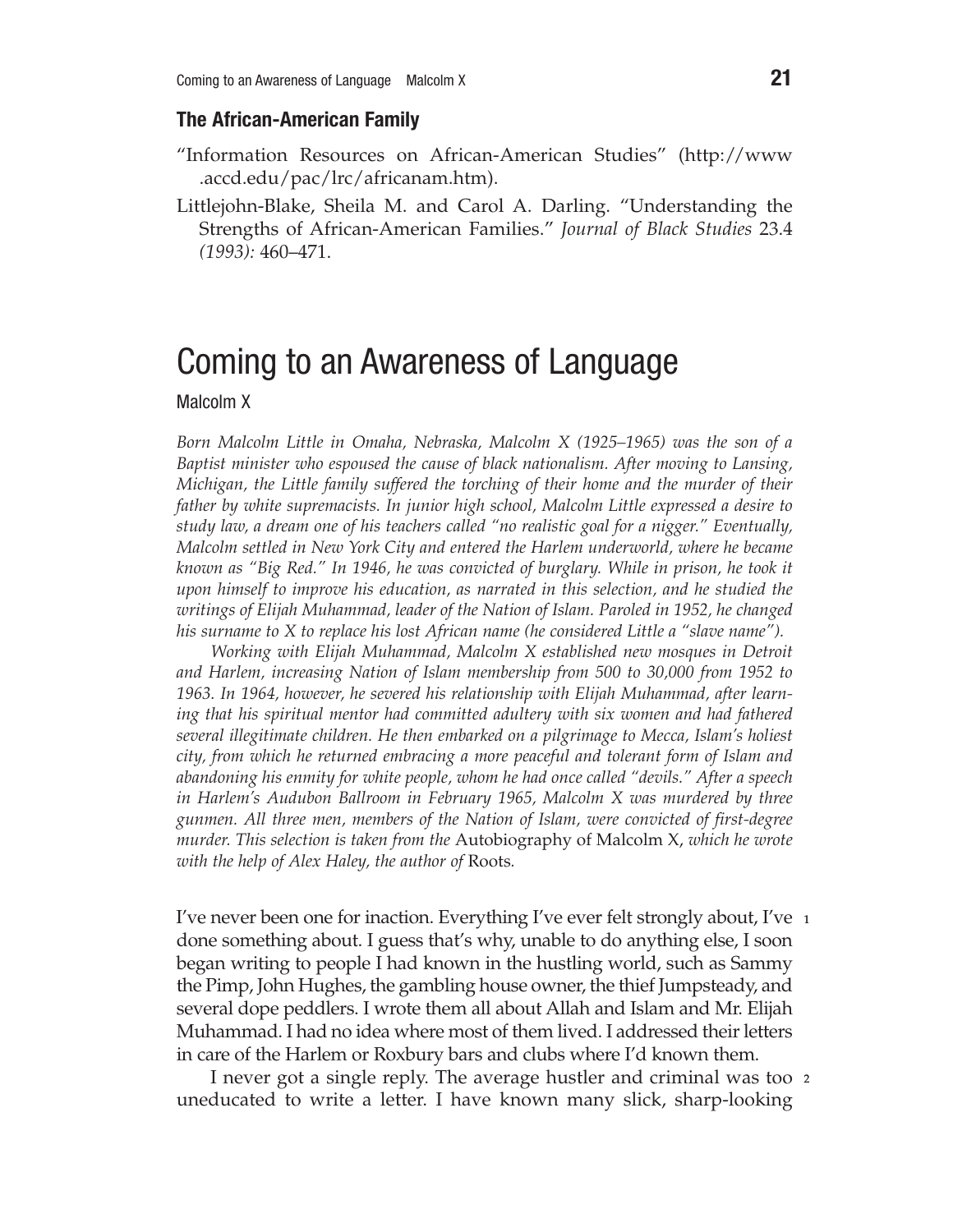#### **The African-American Family**

- "Information Resources on African-American Studies" ( http://www .accd.edu/pac/lrc/africanam.htm ).
- Littlejohn-Blake, Sheila M. and Carol A. Darling. "Understanding the Strengths of African-American Families." *Journal of Black Studies* 23.4 *(1993):* 460–471.

## Coming to an Awareness of Language

#### Malcolm X

 *Born Malcolm Little in Omaha, Nebraska, Malcolm X (1925–1965) was the son of a Baptist minister who espoused the cause of black nationalism. After moving to Lansing, Michigan, the Little family suffered the torching of their home and the murder of their father by white supremacists. In junior high school, Malcolm Little expressed a desire to study law, a dream one of his teachers called "no realistic goal for a nigger." Eventually, Malcolm settled in New York City and entered the Harlem underworld, where he became known as "Big Red." In 1946, he was convicted of burglary. While in prison, he took it upon himself to improve his education, as narrated in this selection, and he studied the writings of Elijah Muhammad, leader of the Nation of Islam. Paroled in 1952, he changed his surname to X to replace his lost African name (he considered Little a "slave name").* 

 *Working with Elijah Muhammad, Malcolm X established new mosques in Detroit and Harlem, increasing Nation of Islam membership from 500 to 30,000 from 1952 to 1963. In 1964, however, he severed his relationship with Elijah Muhammad, after learning that his spiritual mentor had committed adultery with six women and had fathered several illegitimate children. He then embarked on a pilgrimage to Mecca, Islam's holiest city, from which he returned embracing a more peaceful and tolerant form of Islam and abandoning his enmity for white people, whom he had once called "devils." After a speech in Harlem's Audubon Ballroom in February 1965, Malcolm X was murdered by three gunmen. All three men, members of the Nation of Islam, were convicted of first-degree murder. This selection is taken from the* Autobiography of Malcolm X, *which he wrote with the help of Alex Haley, the author of* Roots*.* 

 I've never been one for inaction. Everything I've ever felt strongly about, I've done something about. I guess that's why, unable to do anything else, I soon began writing to people I had known in the hustling world, such as Sammy the Pimp, John Hughes, the gambling house owner, the thief Jumpsteady, and several dope peddlers. I wrote them all about Allah and Islam and Mr. Elijah Muhammad. I had no idea where most of them lived. I addressed their letters in care of the Harlem or Roxbury bars and clubs where I'd known them.  $\frac{1}{2}$ 

 I never got a single reply. The average hustler and criminal was too uneducated to write a letter. I have known many slick, sharp-looking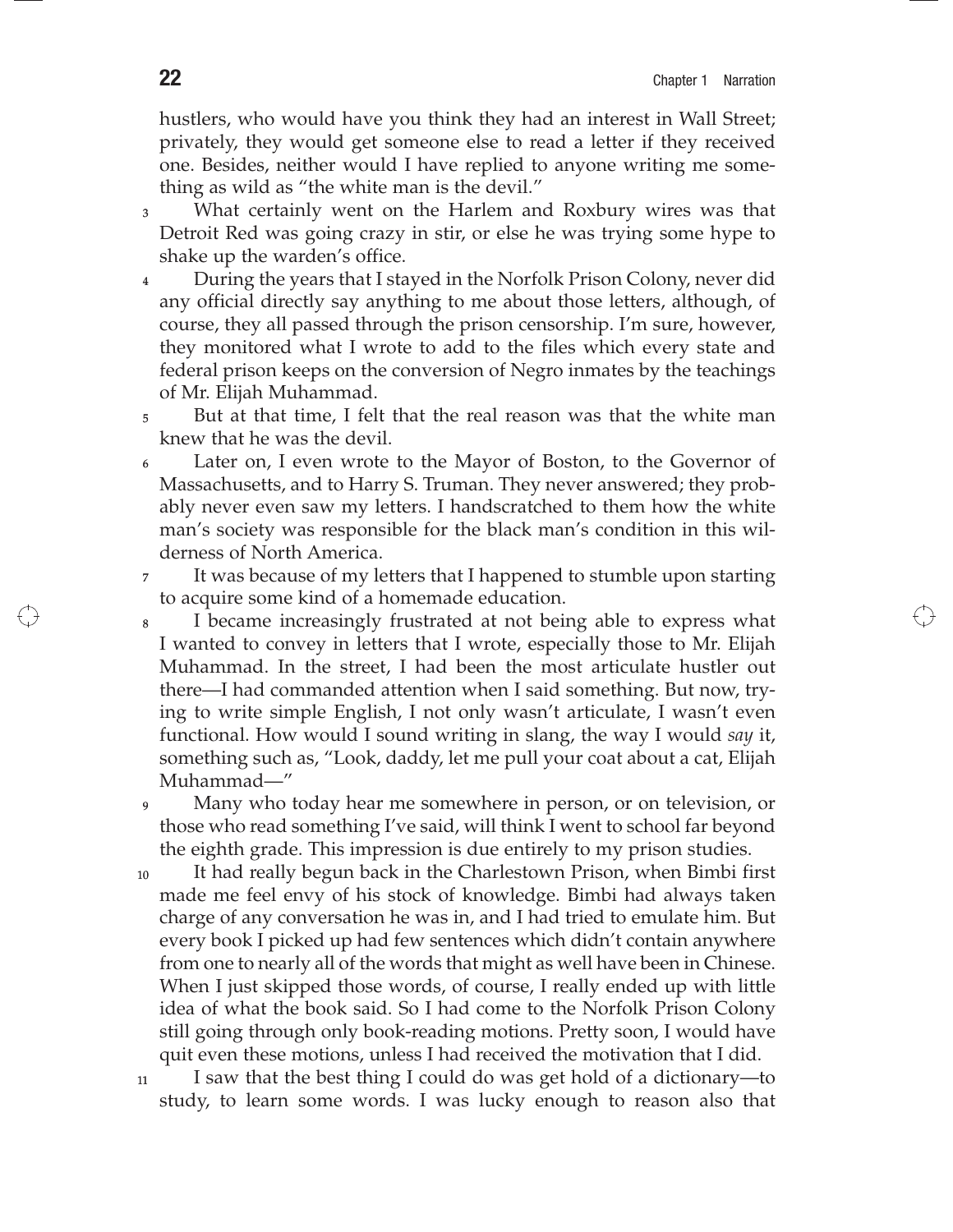hustlers, who would have you think they had an interest in Wall Street; privately, they would get someone else to read a letter if they received one. Besides, neither would I have replied to anyone writing me something as wild as "the white man is the devil."

 What certainly went on the Harlem and Roxbury wires was that  $\overline{3}$ Detroit Red was going crazy in stir, or else he was trying some hype to shake up the warden's office.

3<br>4<br>5<br>6<br>7<br>8<br>9 During the years that I stayed in the Norfolk Prison Colony, never did  $\overline{\mathbf{4}}$ any official directly say anything to me about those letters, although, of course, they all passed through the prison censorship. I'm sure, however, they monitored what I wrote to add to the files which every state and federal prison keeps on the conversion of Negro inmates by the teachings of Mr. Elijah Muhammad.

 But at that time, I felt that the real reason was that the white man  $\overline{5}$ knew that he was the devil.

 Later on, I even wrote to the Mayor of Boston, to the Governor of 6 Massachusetts, and to Harry S. Truman. They never answered; they probably never even saw my letters. I handscratched to them how the white man's society was responsible for the black man's condition in this wilderness of North America.

 It was because of my letters that I happened to stumble upon starting  $\overline{7}$ to acquire some kind of a homemade education.

 I became increasingly frustrated at not being able to express what  $\,8\,$ I wanted to convey in letters that I wrote, especially those to Mr. Elijah Muhammad. In the street, I had been the most articulate hustler out there—I had commanded attention when I said something. But now, trying to write simple English, I not only wasn't articulate, I wasn't even functional. How would I sound writing in slang, the way I would *say* it, something such as, "Look, daddy, let me pull your coat about a cat, Elijah Muhammad—"

 Many who today hear me somewhere in person, or on television, or  $\overline{9}$ those who read something I've said, will think I went to school far beyond the eighth grade. This impression is due entirely to my prison studies.

 It had really begun back in the Charlestown Prison, when Bimbi first made me feel envy of his stock of knowledge. Bimbi had always taken charge of any conversation he was in, and I had tried to emulate him. But every book I picked up had few sentences which didn't contain anywhere from one to nearly all of the words that might as well have been in Chinese. When I just skipped those words, of course, I really ended up with little idea of what the book said. So I had come to the Norfolk Prison Colony still going through only book-reading motions. Pretty soon, I would have quit even these motions, unless I had received the motivation that I did. 10

 I saw that the best thing I could do was get hold of a dictionary—to study, to learn some words. I was lucky enough to reason also that 11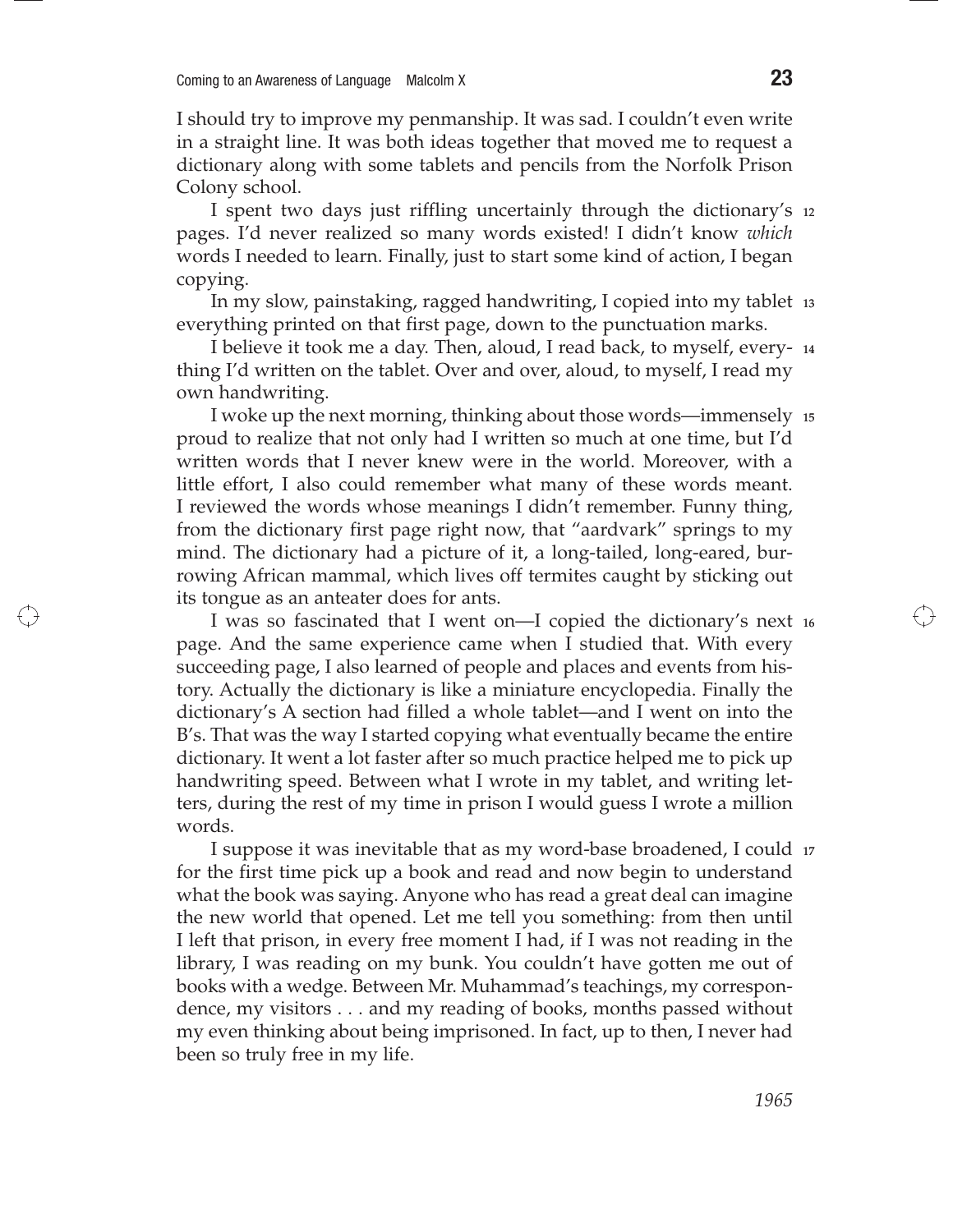I should try to improve my penmanship. It was sad. I couldn't even write in a straight line. It was both ideas together that moved me to request a dictionary along with some tablets and pencils from the Norfolk Prison Colony school.

 I spent two days just riffling uncertainly through the dictionary's 12 pages. I'd never realized so many words existed! I didn't know *which* words I needed to learn. Finally, just to start some kind of action, I began copying.

 In my slow, painstaking, ragged handwriting, I copied into my tablet 13 everything printed on that first page, down to the punctuation marks.

 I believe it took me a day. Then, aloud, I read back, to myself, every-14 thing I'd written on the tablet. Over and over, aloud, to myself, I read my own handwriting.

 I woke up the next morning, thinking about those words—immensely 15 proud to realize that not only had I written so much at one time, but I'd written words that I never knew were in the world. Moreover, with a little effort, I also could remember what many of these words meant. I reviewed the words whose meanings I didn't remember. Funny thing, from the dictionary first page right now, that "aardvark" springs to my mind. The dictionary had a picture of it, a long-tailed, long-eared, burrowing African mammal, which lives off termites caught by sticking out its tongue as an anteater does for ants.

 I was so fascinated that I went on—I copied the dictionary's next 16 page. And the same experience came when I studied that. With every succeeding page, I also learned of people and places and events from history. Actually the dictionary is like a miniature encyclopedia. Finally the dictionary's A section had filled a whole tablet—and I went on into the B's. That was the way I started copying what eventually became the entire dictionary. It went a lot faster after so much practice helped me to pick up handwriting speed. Between what I wrote in my tablet, and writing letters, during the rest of my time in prison I would guess I wrote a million words.

 I suppose it was inevitable that as my word-base broadened, I could 17for the first time pick up a book and read and now begin to understand what the book was saying. Anyone who has read a great deal can imagine the new world that opened. Let me tell you something: from then until I left that prison, in every free moment I had, if I was not reading in the library, I was reading on my bunk. You couldn't have gotten me out of books with a wedge. Between Mr. Muhammad's teachings, my correspondence, my visitors . . . and my reading of books, months passed without my even thinking about being imprisoned. In fact, up to then, I never had been so truly free in my life.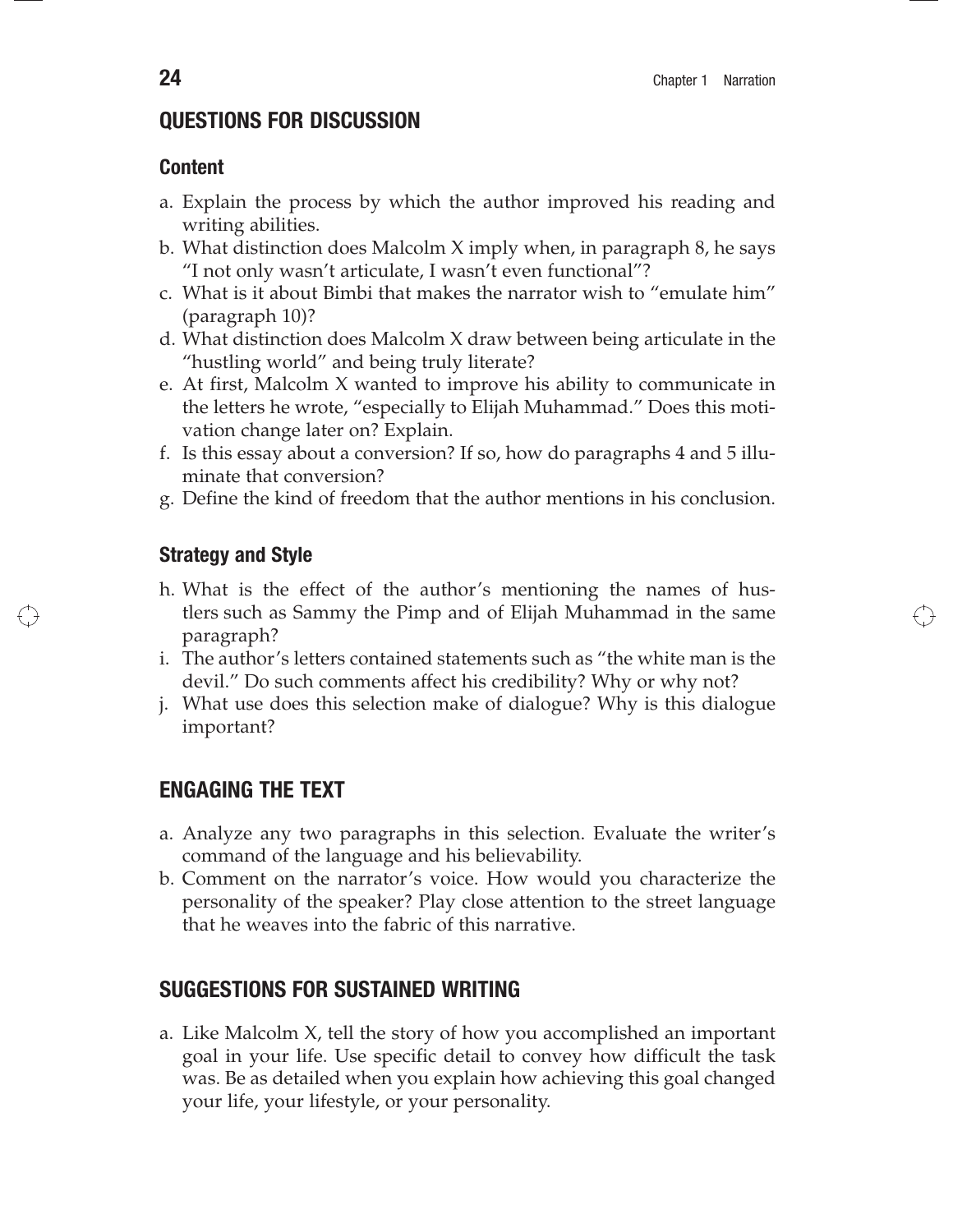↔

## **QUESTIONS FOR DISCUSSION**

### **Content**

- a. Explain the process by which the author improved his reading and writing abilities.
- b. What distinction does Malcolm X imply when, in paragraph 8, he says "I not only wasn't articulate, I wasn't even functional"?
- c. What is it about Bimbi that makes the narrator wish to "emulate him" (paragraph 10)?
- d. What distinction does Malcolm X draw between being articulate in the "hustling world" and being truly literate?
- e. At first, Malcolm X wanted to improve his ability to communicate in the letters he wrote, "especially to Elijah Muhammad." Does this motivation change later on? Explain.
- f. Is this essay about a conversion? If so, how do paragraphs 4 and 5 illuminate that conversion?
- g. Define the kind of freedom that the author mentions in his conclusion.

## **Strategy and Style**

- h. What is the effect of the author's mentioning the names of hustlers such as Sammy the Pimp and of Elijah Muhammad in the same paragraph?
- i. The author's letters contained statements such as "the white man is the devil." Do such comments affect his credibility? Why or why not?
- j. What use does this selection make of dialogue? Why is this dialogue important?

## **ENGAGING THE TEXT**

- a. Analyze any two paragraphs in this selection. Evaluate the writer's command of the language and his believability.
- b. Comment on the narrator's voice. How would you characterize the personality of the speaker? Play close attention to the street language that he weaves into the fabric of this narrative.

## **SUGGESTIONS FOR SUSTAINED WRITING**

 a. Like Malcolm X, tell the story of how you accomplished an important goal in your life. Use specific detail to convey how difficult the task was. Be as detailed when you explain how achieving this goal changed your life, your lifestyle, or your personality.